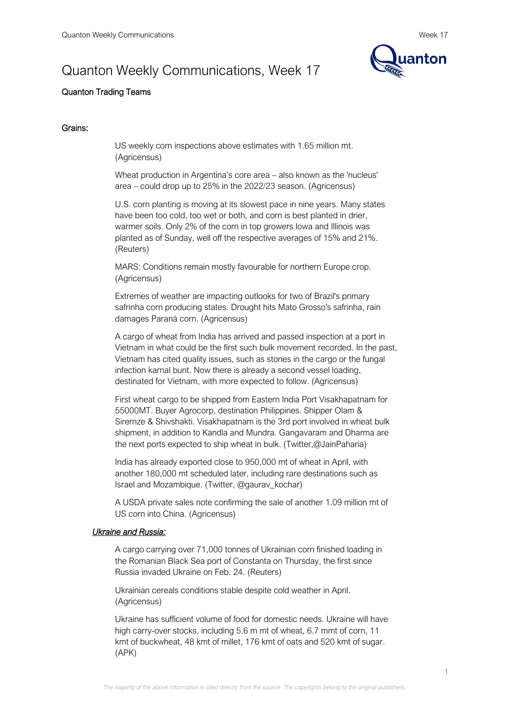# Quanton Weekly Communications, Week 17



# Quanton Trading Teams

# Grains:

US weekly corn inspections above estimates with 1.65 million mt. (Agricensus)

Wheat production in Argentina's core area – also known as the 'nucleus' area – could drop up to 25% in the 2022/23 season. (Agricensus)

U.S. corn planting is moving at its slowest pace in nine years. Many states have been too cold, too wet or both, and corn is best planted in drier, warmer soils. Only 2% of the corn in top growers Iowa and Illinois was planted as of Sunday, well off the respective averages of 15% and 21%. (Reuters)

MARS: Conditions remain mostly favourable for northern Europe crop. (Agricensus)

Extremes of weather are impacting outlooks for two of Brazil's primary safrinha corn producing states. Drought hits Mato Grosso's safrinha, rain damages Paraná corn. (Agricensus)

A cargo of wheat from India has arrived and passed inspection at a port in Vietnam in what could be the first such bulk movement recorded. In the past, Vietnam has cited quality issues, such as stones in the cargo or the fungal infection karnal bunt. Now there is already a second vessel loading, destinated for Vietnam, with more expected to follow. (Agricensus)

First wheat cargo to be shipped from Eastern India Port Visakhapatnam for 55000MT. Buyer Agrocorp, destination Philippines. Shipper Olam & Sirernze & Shivshakti. Visakhapatnam is the 3rd port involved in wheat bulk shipment, in addition to Kandla and Mundra. Gangavaram and Dharma are the next ports expected to ship wheat in bulk. (Twitter,@JainPaharia)

India has already exported close to 950,000 mt of wheat in April, with another 180,000 mt scheduled later, including rare destinations such as Israel and Mozambique. (Twitter, @gaurav\_kochar)

A USDA private sales note confirming the sale of another 1.09 million mt of US corn into China. (Agricensus)

# *Ukraine and Russia:*

A cargo carrying over 71,000 tonnes of Ukrainian corn finished loading in the Romanian Black Sea port of Constanta on Thursday, the first since Russia invaded Ukraine on Feb. 24. (Reuters)

Ukrainian cereals conditions stable despite cold weather in April. (Agricensus)

Ukraine has sufficient volume of food for domestic needs. Ukraine will have high carry-over stocks, including 5.6 m mt of wheat, 6.7 mmt of corn, 11 kmt of buckwheat, 48 kmt of millet, 176 kmt of oats and 520 kmt of sugar. (APK)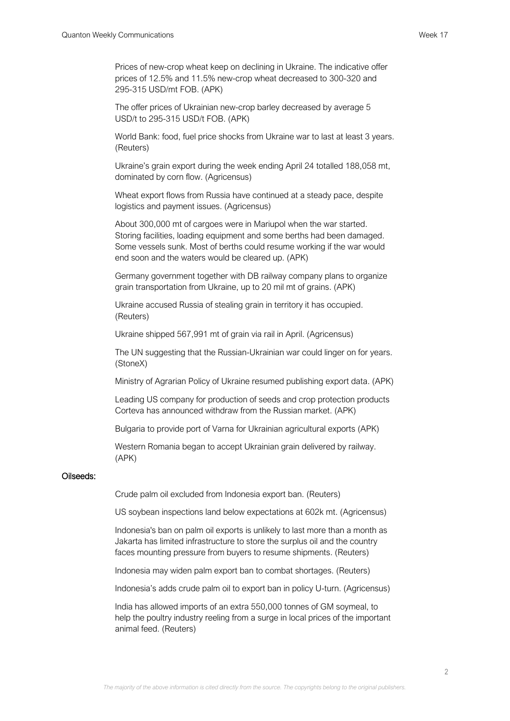Prices of new-crop wheat keep on declining in Ukraine. The indicative offer prices of 12.5% and 11.5% new-crop wheat decreased to 300-320 and 295-315 USD/mt FOB. (APK)

The offer prices of Ukrainian new-crop barley decreased by average 5 USD/t to 295-315 USD/t FOB. (APK)

World Bank: food, fuel price shocks from Ukraine war to last at least 3 years. (Reuters)

Ukraine's grain export during the week ending April 24 totalled 188,058 mt, dominated by corn flow. (Agricensus)

Wheat export flows from Russia have continued at a steady pace, despite logistics and payment issues. (Agricensus)

About 300,000 mt of cargoes were in Mariupol when the war started. Storing facilities, loading equipment and some berths had been damaged. Some vessels sunk. Most of berths could resume working if the war would end soon and the waters would be cleared up. (APK)

Germany government together with DB railway company plans to organize grain transportation from Ukraine, up to 20 mil mt of grains. (APK)

Ukraine accused Russia of stealing grain in territory it has occupied. (Reuters)

Ukraine shipped 567,991 mt of grain via rail in April. (Agricensus)

The UN suggesting that the Russian-Ukrainian war could linger on for years. (StoneX)

Ministry of Agrarian Policy of Ukraine resumed publishing export data. (APK)

Leading US company for production of seeds and crop protection products Corteva has announced withdraw from the Russian market. (APK)

Bulgaria to provide port of Varna for Ukrainian agricultural exports (APK)

Western Romania began to accept Ukrainian grain delivered by railway. (APK)

#### Oilseeds:

Crude palm oil excluded from Indonesia export ban. (Reuters)

US soybean inspections land below expectations at 602k mt. (Agricensus)

Indonesia's ban on palm oil exports is unlikely to last more than a month as Jakarta has limited infrastructure to store the surplus oil and the country faces mounting pressure from buyers to resume shipments. (Reuters)

Indonesia may widen palm export ban to combat shortages. (Reuters)

Indonesia's adds crude palm oil to export ban in policy U-turn. (Agricensus)

India has allowed imports of an extra 550,000 tonnes of GM soymeal, to help the poultry industry reeling from a surge in local prices of the important animal feed. (Reuters)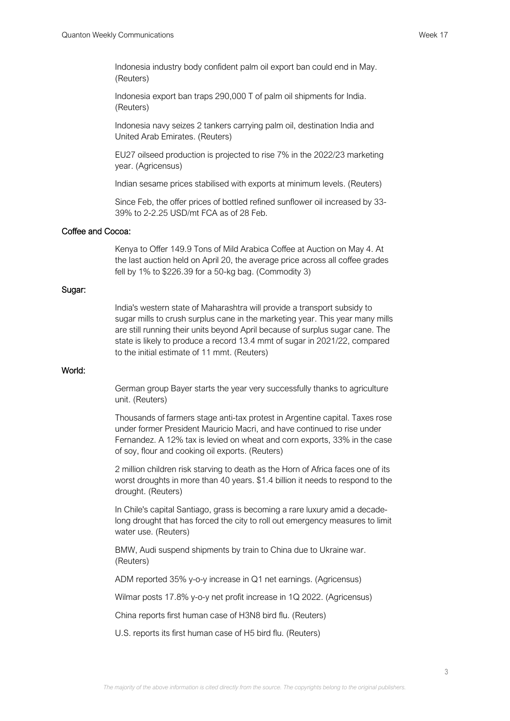Indonesia industry body confident palm oil export ban could end in May. (Reuters)

Indonesia export ban traps 290,000 T of palm oil shipments for India. (Reuters)

Indonesia navy seizes 2 tankers carrying palm oil, destination India and United Arab Emirates. (Reuters)

EU27 oilseed production is projected to rise 7% in the 2022/23 marketing year. (Agricensus)

Indian sesame prices stabilised with exports at minimum levels. (Reuters)

Since Feb, the offer prices of bottled refined sunflower oil increased by 33- 39% to 2-2.25 USD/mt FCA as of 28 Feb.

# Coffee and Cocoa:

Kenya to Offer 149.9 Tons of Mild Arabica Coffee at Auction on May 4. At the last auction held on April 20, the average price across all coffee grades fell by 1% to \$226.39 for a 50-kg bag. (Commodity 3)

#### Sugar:

India's western state of Maharashtra will provide a transport subsidy to sugar mills to crush surplus cane in the marketing year. This year many mills are still running their units beyond April because of surplus sugar cane. The state is likely to produce a record 13.4 mmt of sugar in 2021/22, compared to the initial estimate of 11 mmt. (Reuters)

## World:

German group Bayer starts the year very successfully thanks to agriculture unit. (Reuters)

Thousands of farmers stage anti-tax protest in Argentine capital. Taxes rose under former President Mauricio Macri, and have continued to rise under Fernandez. A 12% tax is levied on wheat and corn exports, 33% in the case of soy, flour and cooking oil exports. (Reuters)

2 million children risk starving to death as the Horn of Africa faces one of its worst droughts in more than 40 years. \$1.4 billion it needs to respond to the drought. (Reuters)

In Chile's capital Santiago, grass is becoming a rare luxury amid a decadelong drought that has forced the city to roll out emergency measures to limit water use. (Reuters)

BMW, Audi suspend shipments by train to China due to Ukraine war. (Reuters)

ADM reported 35% y-o-y increase in Q1 net earnings. (Agricensus)

Wilmar posts 17.8% y-o-y net profit increase in 1Q 2022. (Agricensus)

China reports first human case of H3N8 bird flu. (Reuters)

U.S. reports its first human case of H5 bird flu. (Reuters)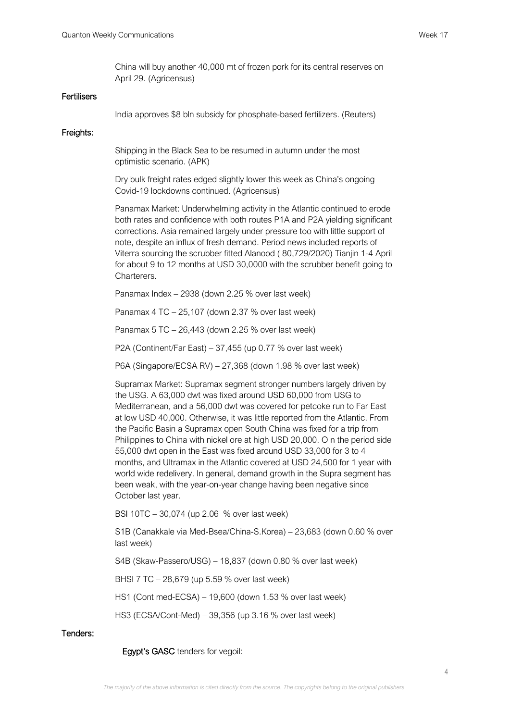China will buy another 40,000 mt of frozen pork for its central reserves on April 29. (Agricensus)

#### **Fertilisers**

India approves \$8 bln subsidy for phosphate-based fertilizers. (Reuters)

#### Freights:

Shipping in the Black Sea to be resumed in autumn under the most optimistic scenario. (APK)

Dry bulk freight rates edged slightly lower this week as China's ongoing Covid-19 lockdowns continued. (Agricensus)

Panamax Market: Underwhelming activity in the Atlantic continued to erode both rates and confidence with both routes P1A and P2A yielding significant corrections. Asia remained largely under pressure too with little support of note, despite an influx of fresh demand. Period news included reports of Viterra sourcing the scrubber fitted Alanood ( 80,729/2020) Tianjin 1-4 April for about 9 to 12 months at USD 30,0000 with the scrubber benefit going to Charterers.

Panamax Index – 2938 (down 2.25 % over last week)

Panamax 4 TC – 25,107 (down 2.37 % over last week)

Panamax 5 TC – 26,443 (down 2.25 % over last week)

P2A (Continent/Far East) – 37,455 (up 0.77 % over last week)

P6A (Singapore/ECSA RV) – 27,368 (down 1.98 % over last week)

Supramax Market: Supramax segment stronger numbers largely driven by the USG. A 63,000 dwt was fixed around USD 60,000 from USG to Mediterranean, and a 56,000 dwt was covered for petcoke run to Far East at low USD 40,000. Otherwise, it was little reported from the Atlantic. From the Pacific Basin a Supramax open South China was fixed for a trip from Philippines to China with nickel ore at high USD 20,000. O n the period side 55,000 dwt open in the East was fixed around USD 33,000 for 3 to 4 months, and Ultramax in the Atlantic covered at USD 24,500 for 1 year with world wide redelivery. In general, demand growth in the Supra segment has been weak, with the year-on-year change having been negative since October last year.

BSI 10TC – 30,074 (up 2.06 % over last week)

S1B (Canakkale via Med-Bsea/China-S.Korea) – 23,683 (down 0.60 % over last week)

S4B (Skaw-Passero/USG) – 18,837 (down 0.80 % over last week)

BHSI 7 TC – 28,679 (up 5.59 % over last week)

HS1 (Cont med-ECSA) – 19,600 (down 1.53 % over last week)

HS3 (ECSA/Cont-Med) – 39,356 (up 3.16 % over last week)

### Tenders:

Egypt's GASC tenders for vegoil: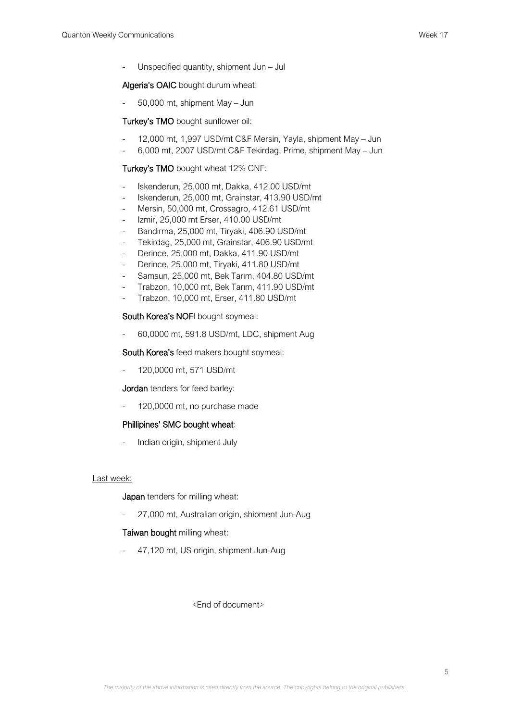- Unspecified quantity, shipment Jun – Jul

# Algeria's OAIC bought durum wheat:

- 50,000 mt, shipment May – Jun

## Turkey's TMO bought sunflower oil:

- 12,000 mt, 1,997 USD/mt C&F Mersin, Yayla, shipment May Jun
- 6,000 mt, 2007 USD/mt C&F Tekirdag, Prime, shipment May Jun

## Turkey's TMO bought wheat 12% CNF:

- Iskenderun, 25,000 mt, Dakka, 412.00 USD/mt
- Iskenderun, 25,000 mt, Grainstar, 413.90 USD/mt
- Mersin, 50,000 mt, Crossagro, 412.61 USD/mt
- Izmir, 25,000 mt Erser, 410.00 USD/mt
- Bandırma, 25,000 mt, Tiryaki, 406.90 USD/mt
- Tekirdag, 25,000 mt, Grainstar, 406.90 USD/mt
- Derince, 25,000 mt, Dakka, 411.90 USD/mt
- Derince, 25,000 mt, Tiryaki, 411.80 USD/mt
- Samsun, 25,000 mt, Bek Tarım, 404.80 USD/mt
- Trabzon, 10,000 mt, Bek Tarım, 411.90 USD/mt
- Trabzon, 10,000 mt, Erser, 411.80 USD/mt

## South Korea's NOFI bought soymeal:

- 60,0000 mt, 591.8 USD/mt, LDC, shipment Aug

South Korea's feed makers bought soymeal:

- 120,0000 mt, 571 USD/mt

Jordan tenders for feed barley:

120,0000 mt, no purchase made

#### Phillipines' SMC bought wheat:

- Indian origin, shipment July

#### Last week:

Japan tenders for milling wheat:

27,000 mt, Australian origin, shipment Jun-Aug

Taiwan bought milling wheat:

- 47,120 mt, US origin, shipment Jun-Aug

# <End of document>